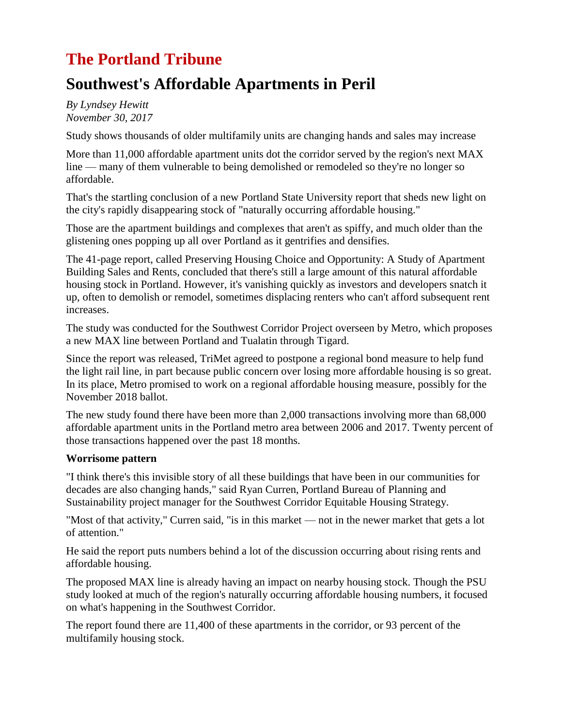## **The Portland Tribune**

### **Southwest's Affordable Apartments in Peril**

*By Lyndsey Hewitt November 30, 2017*

Study shows thousands of older multifamily units are changing hands and sales may increase

More than 11,000 affordable apartment units dot the corridor served by the region's next MAX line — many of them vulnerable to being demolished or remodeled so they're no longer so affordable.

That's the startling conclusion of a new Portland State University report that sheds new light on the city's rapidly disappearing stock of "naturally occurring affordable housing."

Those are the apartment buildings and complexes that aren't as spiffy, and much older than the glistening ones popping up all over Portland as it gentrifies and densifies.

The 41-page report, called Preserving Housing Choice and Opportunity: A Study of Apartment Building Sales and Rents, concluded that there's still a large amount of this natural affordable housing stock in Portland. However, it's vanishing quickly as investors and developers snatch it up, often to demolish or remodel, sometimes displacing renters who can't afford subsequent rent increases.

The study was conducted for the Southwest Corridor Project overseen by Metro, which proposes a new MAX line between Portland and Tualatin through Tigard.

Since the report was released, TriMet agreed to postpone a regional bond measure to help fund the light rail line, in part because public concern over losing more affordable housing is so great. In its place, Metro promised to work on a regional affordable housing measure, possibly for the November 2018 ballot.

The new study found there have been more than 2,000 transactions involving more than 68,000 affordable apartment units in the Portland metro area between 2006 and 2017. Twenty percent of those transactions happened over the past 18 months.

#### **Worrisome pattern**

"I think there's this invisible story of all these buildings that have been in our communities for decades are also changing hands," said Ryan Curren, Portland Bureau of Planning and Sustainability project manager for the Southwest Corridor Equitable Housing Strategy.

"Most of that activity," Curren said, "is in this market — not in the newer market that gets a lot of attention."

He said the report puts numbers behind a lot of the discussion occurring about rising rents and affordable housing.

The proposed MAX line is already having an impact on nearby housing stock. Though the PSU study looked at much of the region's naturally occurring affordable housing numbers, it focused on what's happening in the Southwest Corridor.

The report found there are 11,400 of these apartments in the corridor, or 93 percent of the multifamily housing stock.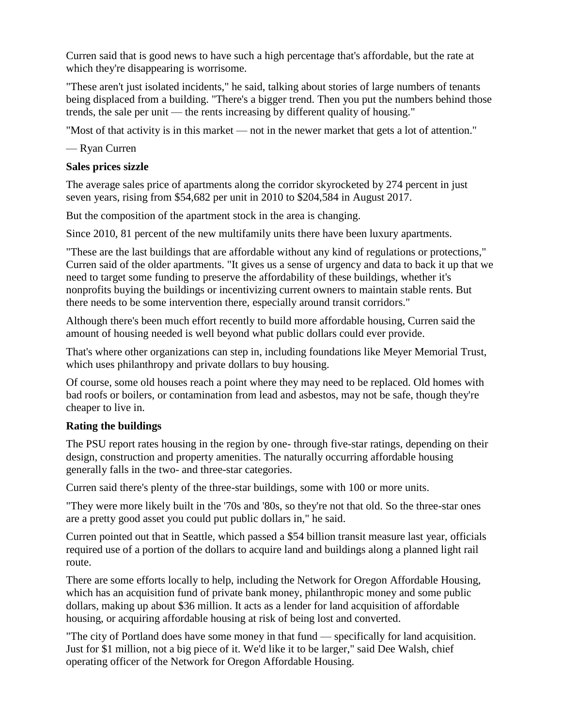Curren said that is good news to have such a high percentage that's affordable, but the rate at which they're disappearing is worrisome.

"These aren't just isolated incidents," he said, talking about stories of large numbers of tenants being displaced from a building. "There's a bigger trend. Then you put the numbers behind those trends, the sale per unit — the rents increasing by different quality of housing."

"Most of that activity is in this market — not in the newer market that gets a lot of attention."

— Ryan Curren

#### **Sales prices sizzle**

The average sales price of apartments along the corridor skyrocketed by 274 percent in just seven years, rising from \$54,682 per unit in 2010 to \$204,584 in August 2017.

But the composition of the apartment stock in the area is changing.

Since 2010, 81 percent of the new multifamily units there have been luxury apartments.

"These are the last buildings that are affordable without any kind of regulations or protections," Curren said of the older apartments. "It gives us a sense of urgency and data to back it up that we need to target some funding to preserve the affordability of these buildings, whether it's nonprofits buying the buildings or incentivizing current owners to maintain stable rents. But there needs to be some intervention there, especially around transit corridors."

Although there's been much effort recently to build more affordable housing, Curren said the amount of housing needed is well beyond what public dollars could ever provide.

That's where other organizations can step in, including foundations like Meyer Memorial Trust, which uses philanthropy and private dollars to buy housing.

Of course, some old houses reach a point where they may need to be replaced. Old homes with bad roofs or boilers, or contamination from lead and asbestos, may not be safe, though they're cheaper to live in.

#### **Rating the buildings**

The PSU report rates housing in the region by one- through five-star ratings, depending on their design, construction and property amenities. The naturally occurring affordable housing generally falls in the two- and three-star categories.

Curren said there's plenty of the three-star buildings, some with 100 or more units.

"They were more likely built in the '70s and '80s, so they're not that old. So the three-star ones are a pretty good asset you could put public dollars in," he said.

Curren pointed out that in Seattle, which passed a \$54 billion transit measure last year, officials required use of a portion of the dollars to acquire land and buildings along a planned light rail route.

There are some efforts locally to help, including the Network for Oregon Affordable Housing, which has an acquisition fund of private bank money, philanthropic money and some public dollars, making up about \$36 million. It acts as a lender for land acquisition of affordable housing, or acquiring affordable housing at risk of being lost and converted.

"The city of Portland does have some money in that fund — specifically for land acquisition. Just for \$1 million, not a big piece of it. We'd like it to be larger," said Dee Walsh, chief operating officer of the Network for Oregon Affordable Housing.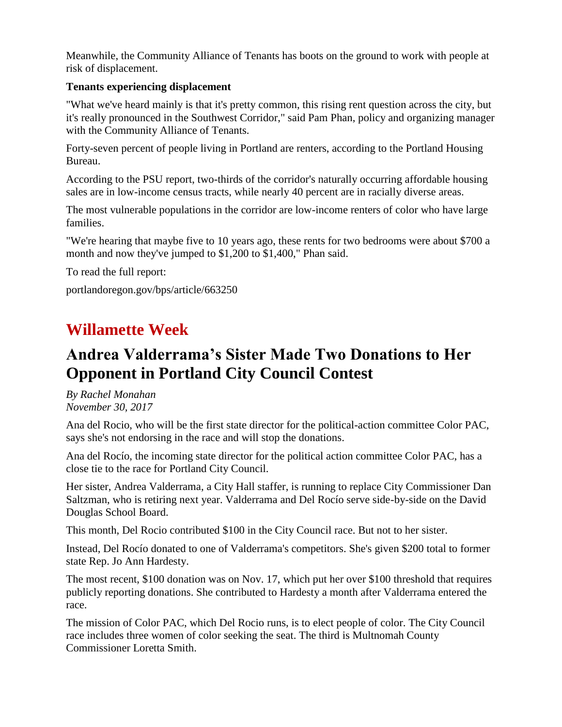Meanwhile, the Community Alliance of Tenants has boots on the ground to work with people at risk of displacement.

#### **Tenants experiencing displacement**

"What we've heard mainly is that it's pretty common, this rising rent question across the city, but it's really pronounced in the Southwest Corridor," said Pam Phan, policy and organizing manager with the Community Alliance of Tenants.

Forty-seven percent of people living in Portland are renters, according to the Portland Housing Bureau.

According to the PSU report, two-thirds of the corridor's naturally occurring affordable housing sales are in low-income census tracts, while nearly 40 percent are in racially diverse areas.

The most vulnerable populations in the corridor are low-income renters of color who have large families.

"We're hearing that maybe five to 10 years ago, these rents for two bedrooms were about \$700 a month and now they've jumped to \$1,200 to \$1,400," Phan said.

To read the full report:

portlandoregon.gov/bps/article/663250

### **Willamette Week**

### **Andrea Valderrama's Sister Made Two Donations to Her Opponent in Portland City Council Contest**

*By Rachel Monahan November 30, 2017*

Ana del Rocio, who will be the first state director for the political-action committee Color PAC, says she's not endorsing in the race and will stop the donations.

Ana del Rocío, the incoming state director for the political action committee Color PAC, has a close tie to the race for Portland City Council.

Her sister, Andrea Valderrama, a City Hall staffer, is running to replace City Commissioner Dan Saltzman, who is retiring next year. Valderrama and Del Rocío serve side-by-side on the David Douglas School Board.

This month, Del Rocio contributed \$100 in the City Council race. But not to her sister.

Instead, Del Rocío donated to one of Valderrama's competitors. She's given \$200 total to former state Rep. Jo Ann Hardesty.

The most recent, \$100 donation was on Nov. 17, which put her over \$100 threshold that requires publicly reporting donations. She contributed to Hardesty a month after Valderrama entered the race.

The mission of Color PAC, which Del Rocio runs, is to elect people of color. The City Council race includes three women of color seeking the seat. The third is Multnomah County Commissioner Loretta Smith.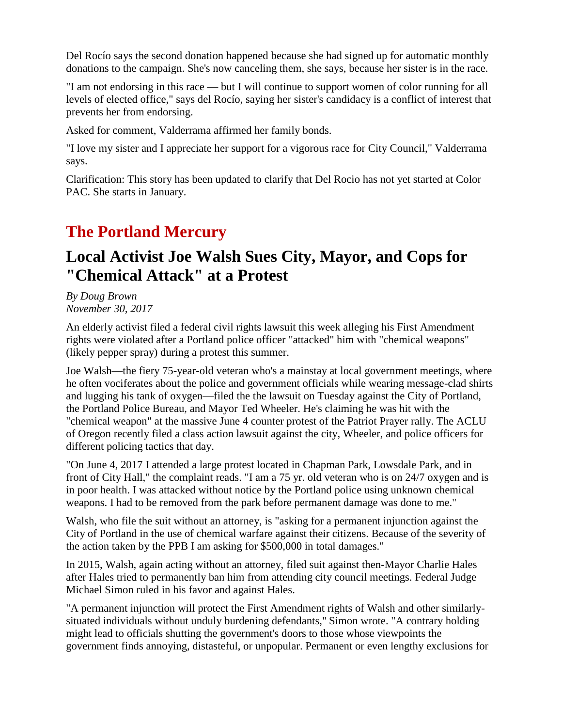Del Rocío says the second donation happened because she had signed up for automatic monthly donations to the campaign. She's now canceling them, she says, because her sister is in the race.

"I am not endorsing in this race — but I will continue to support women of color running for all levels of elected office," says del Rocío, saying her sister's candidacy is a conflict of interest that prevents her from endorsing.

Asked for comment, Valderrama affirmed her family bonds.

"I love my sister and I appreciate her support for a vigorous race for City Council," Valderrama says.

Clarification: This story has been updated to clarify that Del Rocio has not yet started at Color PAC. She starts in January.

## **The Portland Mercury**

## **Local Activist Joe Walsh Sues City, Mayor, and Cops for "Chemical Attack" at a Protest**

*By Doug Brown November 30, 2017*

An elderly activist filed a federal civil rights lawsuit this week alleging his First Amendment rights were violated after a Portland police officer "attacked" him with "chemical weapons" (likely pepper spray) during a protest this summer.

Joe Walsh—the fiery 75-year-old veteran who's a mainstay at local government meetings, where he often vociferates about the police and government officials while wearing message-clad shirts and lugging his tank of oxygen—filed the the lawsuit on Tuesday against the City of Portland, the Portland Police Bureau, and Mayor Ted Wheeler. He's claiming he was hit with the "chemical weapon" at the massive June 4 counter protest of the Patriot Prayer rally. The ACLU of Oregon recently filed a class action lawsuit against the city, Wheeler, and police officers for different policing tactics that day.

"On June 4, 2017 I attended a large protest located in Chapman Park, Lowsdale Park, and in front of City Hall," the complaint reads. "I am a 75 yr. old veteran who is on 24/7 oxygen and is in poor health. I was attacked without notice by the Portland police using unknown chemical weapons. I had to be removed from the park before permanent damage was done to me."

Walsh, who file the suit without an attorney, is "asking for a permanent injunction against the City of Portland in the use of chemical warfare against their citizens. Because of the severity of the action taken by the PPB I am asking for \$500,000 in total damages."

In 2015, Walsh, again acting without an attorney, filed suit against then-Mayor Charlie Hales after Hales tried to permanently ban him from attending city council meetings. Federal Judge Michael Simon ruled in his favor and against Hales.

"A permanent injunction will protect the First Amendment rights of Walsh and other similarlysituated individuals without unduly burdening defendants,'' Simon wrote. "A contrary holding might lead to officials shutting the government's doors to those whose viewpoints the government finds annoying, distasteful, or unpopular. Permanent or even lengthy exclusions for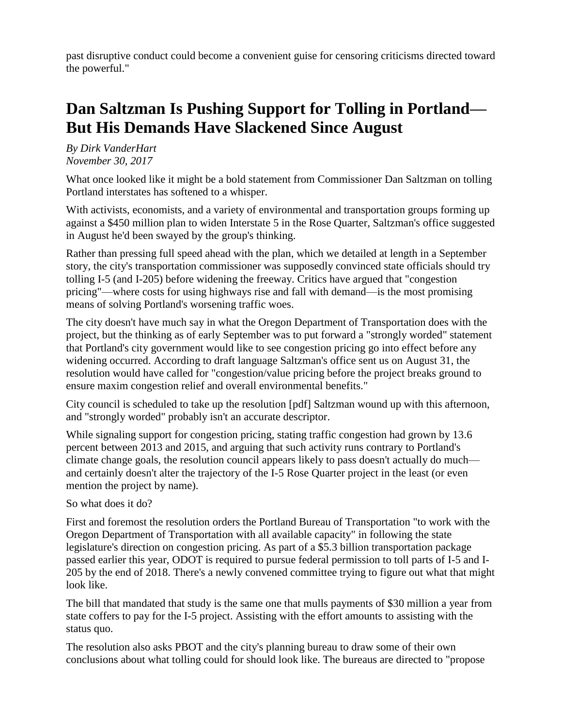past disruptive conduct could become a convenient guise for censoring criticisms directed toward the powerful."

## **Dan Saltzman Is Pushing Support for Tolling in Portland— But His Demands Have Slackened Since August**

*By Dirk VanderHart November 30, 2017*

What once looked like it might be a bold statement from Commissioner Dan Saltzman on tolling Portland interstates has softened to a whisper.

With activists, economists, and a variety of environmental and transportation groups forming up against a \$450 million plan to widen Interstate 5 in the Rose Quarter, Saltzman's office suggested in August he'd been swayed by the group's thinking.

Rather than pressing full speed ahead with the plan, which we detailed at length in a September story, the city's transportation commissioner was supposedly convinced state officials should try tolling I-5 (and I-205) before widening the freeway. Critics have argued that "congestion pricing"—where costs for using highways rise and fall with demand—is the most promising means of solving Portland's worsening traffic woes.

The city doesn't have much say in what the Oregon Department of Transportation does with the project, but the thinking as of early September was to put forward a "strongly worded" statement that Portland's city government would like to see congestion pricing go into effect before any widening occurred. According to draft language Saltzman's office sent us on August 31, the resolution would have called for "congestion/value pricing before the project breaks ground to ensure maxim congestion relief and overall environmental benefits."

City council is scheduled to take up the resolution [pdf] Saltzman wound up with this afternoon, and "strongly worded" probably isn't an accurate descriptor.

While signaling support for congestion pricing, stating traffic congestion had grown by 13.6 percent between 2013 and 2015, and arguing that such activity runs contrary to Portland's climate change goals, the resolution council appears likely to pass doesn't actually do much and certainly doesn't alter the trajectory of the I-5 Rose Quarter project in the least (or even mention the project by name).

So what does it do?

First and foremost the resolution orders the Portland Bureau of Transportation "to work with the Oregon Department of Transportation with all available capacity" in following the state legislature's direction on congestion pricing. As part of a \$5.3 billion transportation package passed earlier this year, ODOT is required to pursue federal permission to toll parts of I-5 and I-205 by the end of 2018. There's a newly convened committee trying to figure out what that might look like.

The bill that mandated that study is the same one that mulls payments of \$30 million a year from state coffers to pay for the I-5 project. Assisting with the effort amounts to assisting with the status quo.

The resolution also asks PBOT and the city's planning bureau to draw some of their own conclusions about what tolling could for should look like. The bureaus are directed to "propose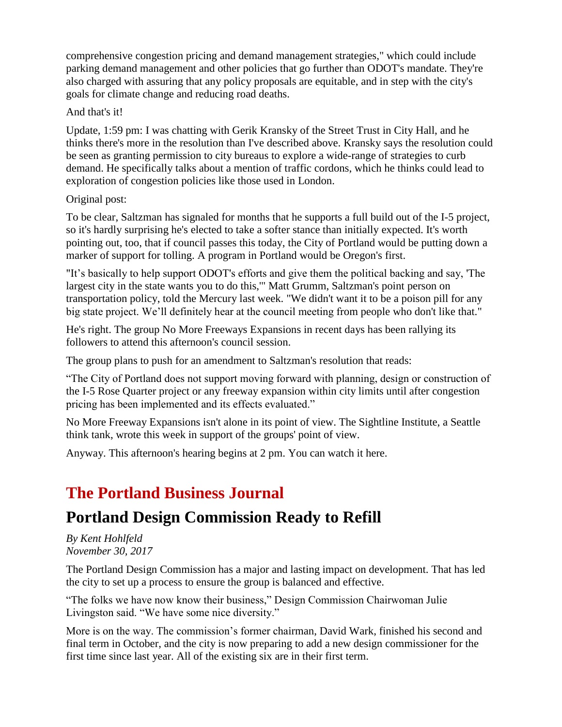comprehensive congestion pricing and demand management strategies," which could include parking demand management and other policies that go further than ODOT's mandate. They're also charged with assuring that any policy proposals are equitable, and in step with the city's goals for climate change and reducing road deaths.

#### And that's it!

Update, 1:59 pm: I was chatting with Gerik Kransky of the Street Trust in City Hall, and he thinks there's more in the resolution than I've described above. Kransky says the resolution could be seen as granting permission to city bureaus to explore a wide-range of strategies to curb demand. He specifically talks about a mention of traffic cordons, which he thinks could lead to exploration of congestion policies like those used in London.

#### Original post:

To be clear, Saltzman has signaled for months that he supports a full build out of the I-5 project, so it's hardly surprising he's elected to take a softer stance than initially expected. It's worth pointing out, too, that if council passes this today, the City of Portland would be putting down a marker of support for tolling. A program in Portland would be Oregon's first.

"It's basically to help support ODOT's efforts and give them the political backing and say, 'The largest city in the state wants you to do this,'" Matt Grumm, Saltzman's point person on transportation policy, told the Mercury last week. "We didn't want it to be a poison pill for any big state project. We'll definitely hear at the council meeting from people who don't like that."

He's right. The group No More Freeways Expansions in recent days has been rallying its followers to attend this afternoon's council session.

The group plans to push for an amendment to Saltzman's resolution that reads:

"The City of Portland does not support moving forward with planning, design or construction of the I-5 Rose Quarter project or any freeway expansion within city limits until after congestion pricing has been implemented and its effects evaluated."

No More Freeway Expansions isn't alone in its point of view. The Sightline Institute, a Seattle think tank, wrote this week in support of the groups' point of view.

Anyway. This afternoon's hearing begins at 2 pm. You can watch it here.

## **The Portland Business Journal**

### **Portland Design Commission Ready to Refill**

*By Kent Hohlfeld November 30, 2017*

The Portland Design Commission has a major and lasting impact on development. That has led the city to set up a process to ensure the group is balanced and effective.

"The folks we have now know their business," Design Commission Chairwoman Julie Livingston said. "We have some nice diversity."

More is on the way. The commission's former chairman, David Wark, finished his second and final term in October, and the city is now preparing to add a new design commissioner for the first time since last year. All of the existing six are in their first term.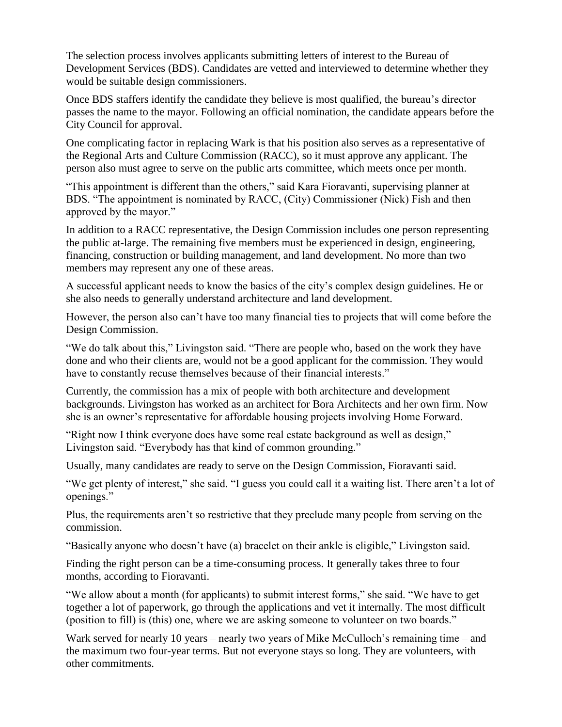The selection process involves applicants submitting letters of interest to the Bureau of Development Services (BDS). Candidates are vetted and interviewed to determine whether they would be suitable design commissioners.

Once BDS staffers identify the candidate they believe is most qualified, the bureau's director passes the name to the mayor. Following an official nomination, the candidate appears before the City Council for approval.

One complicating factor in replacing Wark is that his position also serves as a representative of the Regional Arts and Culture Commission (RACC), so it must approve any applicant. The person also must agree to serve on the public arts committee, which meets once per month.

"This appointment is different than the others," said Kara Fioravanti, supervising planner at BDS. "The appointment is nominated by RACC, (City) Commissioner (Nick) Fish and then approved by the mayor."

In addition to a RACC representative, the Design Commission includes one person representing the public at-large. The remaining five members must be experienced in design, engineering, financing, construction or building management, and land development. No more than two members may represent any one of these areas.

A successful applicant needs to know the basics of the city's complex design guidelines. He or she also needs to generally understand architecture and land development.

However, the person also can't have too many financial ties to projects that will come before the Design Commission.

"We do talk about this," Livingston said. "There are people who, based on the work they have done and who their clients are, would not be a good applicant for the commission. They would have to constantly recuse themselves because of their financial interests."

Currently, the commission has a mix of people with both architecture and development backgrounds. Livingston has worked as an architect for Bora Architects and her own firm. Now she is an owner's representative for affordable housing projects involving Home Forward.

"Right now I think everyone does have some real estate background as well as design," Livingston said. "Everybody has that kind of common grounding."

Usually, many candidates are ready to serve on the Design Commission, Fioravanti said.

"We get plenty of interest," she said. "I guess you could call it a waiting list. There aren't a lot of openings."

Plus, the requirements aren't so restrictive that they preclude many people from serving on the commission.

"Basically anyone who doesn't have (a) bracelet on their ankle is eligible," Livingston said.

Finding the right person can be a time-consuming process. It generally takes three to four months, according to Fioravanti.

"We allow about a month (for applicants) to submit interest forms," she said. "We have to get together a lot of paperwork, go through the applications and vet it internally. The most difficult (position to fill) is (this) one, where we are asking someone to volunteer on two boards."

Wark served for nearly 10 years – nearly two years of Mike McCulloch's remaining time – and the maximum two four-year terms. But not everyone stays so long. They are volunteers, with other commitments.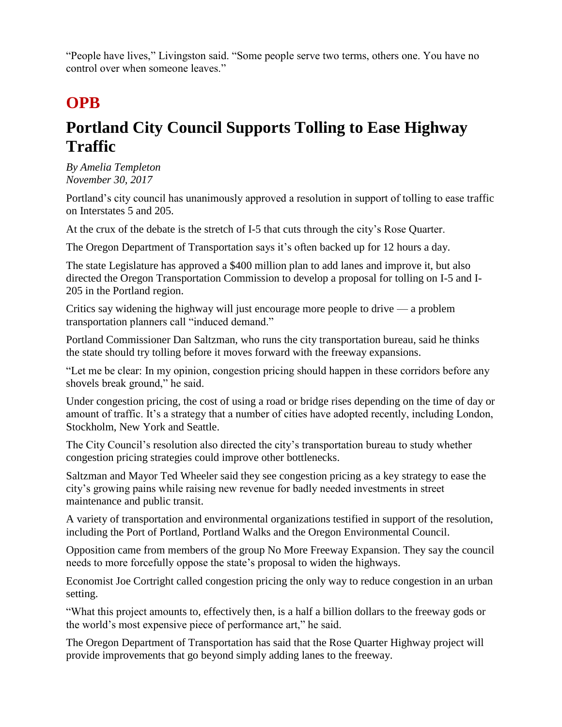"People have lives," Livingston said. "Some people serve two terms, others one. You have no control over when someone leaves."

# **OPB**

# **Portland City Council Supports Tolling to Ease Highway Traffic**

*By Amelia Templeton November 30, 2017*

Portland's city council has unanimously approved a resolution in support of tolling to ease traffic on Interstates 5 and 205.

At the crux of the debate is the stretch of I-5 that cuts through the city's Rose Quarter.

The Oregon Department of Transportation says it's often backed up for 12 hours a day.

The state Legislature has approved a \$400 million plan to add lanes and improve it, but also directed the Oregon Transportation Commission to develop a proposal for tolling on I-5 and I-205 in the Portland region.

Critics say widening the highway will just encourage more people to drive — a problem transportation planners call "induced demand."

Portland Commissioner Dan Saltzman, who runs the city transportation bureau, said he thinks the state should try tolling before it moves forward with the freeway expansions.

"Let me be clear: In my opinion, congestion pricing should happen in these corridors before any shovels break ground," he said.

Under congestion pricing, the cost of using a road or bridge rises depending on the time of day or amount of traffic. It's a strategy that a number of cities have adopted recently, including London, Stockholm, New York and Seattle.

The City Council's resolution also directed the city's transportation bureau to study whether congestion pricing strategies could improve other bottlenecks.

Saltzman and Mayor Ted Wheeler said they see congestion pricing as a key strategy to ease the city's growing pains while raising new revenue for badly needed investments in street maintenance and public transit.

A variety of transportation and environmental organizations testified in support of the resolution, including the Port of Portland, Portland Walks and the Oregon Environmental Council.

Opposition came from members of the group No More Freeway Expansion. They say the council needs to more forcefully oppose the state's proposal to widen the highways.

Economist Joe Cortright called congestion pricing the only way to reduce congestion in an urban setting.

"What this project amounts to, effectively then, is a half a billion dollars to the freeway gods or the world's most expensive piece of performance art," he said.

The Oregon Department of Transportation has said that the Rose Quarter Highway project will provide improvements that go beyond simply adding lanes to the freeway.